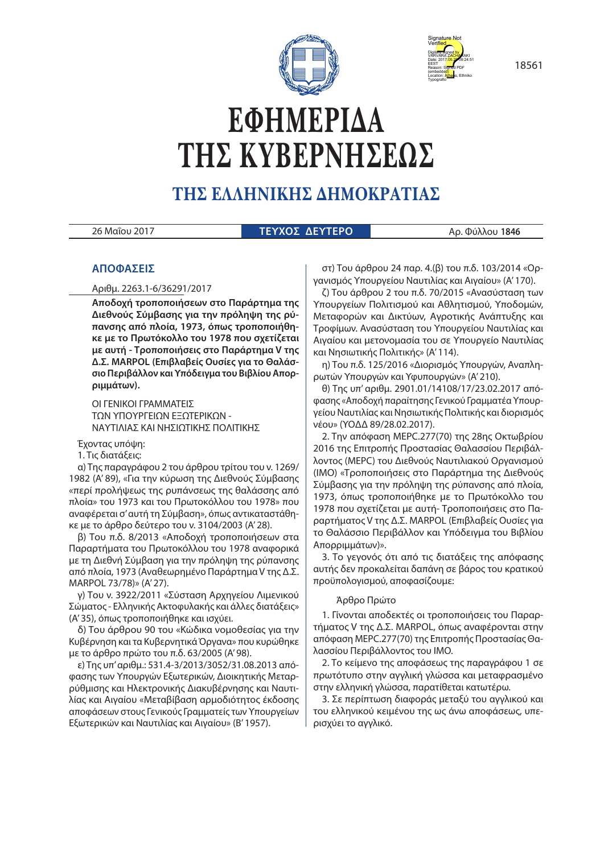



# **ΕΦΗΜΕΡΙ∆Α ΤΗΣ ΚΥΒΕΡΝΗΣΕΩΣ**

# **ΤΗΣ ΕΛΛΗΝΙΚΗΣ ∆ΗΜΟΚΡΑΤΙΑΣ**

26 Μαΐου 2017 **ΤΕΥΧΟΣ ΔΕΥΤΕΡΟ** Αρ. Φύλλου **1846**

# **ΑΠΟΦΑΣΕΙΣ**

Αριθμ. 2263.1-6/36291/2017

**Αποδοχή τροποποιήσεων στο Παράρτημα της Διεθνούς Σύμβασης για την πρόληψη της ρύπανσης από πλοία, 1973, όπως τροποποιήθηκε με το Πρωτόκολλο του 1978 που σχετίζεται με αυτή - Τροποποιήσεις στο Παράρτημα V της Δ.Σ. MARPOL (Επιβλαβείς Ουσίες για το Θαλάσσιο Περιβάλλον και Υπόδειγμα του Βιβλίου Απορριμμάτων).**

ΟΙ ΓΕΝΙΚΟΙ ΓΡΑΜΜΑΤΕΙΣ ΤΩΝ ΥΠΟΥΡΓΕΙΩΝ ΕΞΩΤΕΡΙΚΩΝ - ΝΑΥΤΙΛΙΑΣ ΚΑΙ ΝΗΣΙΩΤΙΚΗΣ ΠΟΛΙΤΙΚΗΣ

Έχοντας υπόψη:

1. Τις διατάξεις:

α) Της παραγράφου 2 του άρθρου τρίτου του ν. 1269/ 1982 (Α' 89), «Για την κύρωση της Διεθνούς Σύμβασης «περί προλήψεως της ρυπάνσεως της θαλάσσης από πλοία» του 1973 και του Πρωτοκόλλου του 1978» που αναφέρεται σ' αυτή τη Σύμβαση», όπως αντικαταστάθηκε με το άρθρο δεύτερο του ν. 3104/2003 (Α' 28).

β) Του π.δ. 8/2013 «Αποδοχή τροποποιήσεων στα Παραρτήματα του Πρωτοκόλλου του 1978 αναφορικά με τη Διεθνή Σύμβαση για την πρόληψη της ρύπανσης από πλοία, 1973 (Αναθεωρημένο Παράρτημα V της Δ.Σ. MARPOL 73/78)» (Α' 27).

γ) Του ν. 3922/2011 «Σύσταση Αρχηγείου Λιμενικού Σώματος - Ελληνικής Ακτοφυλακής και άλλες διατάξεις» (Α' 35), όπως τροποποιήθηκε και ισχύει.

δ) Του άρθρου 90 του «Κώδικα νομοθεσίας για την Κυβέρνηση και τα Κυβερνητικά Όργανα» που κυρώθηκε με το άρθρο πρώτο του π.δ. 63/2005 (Α' 98).

ε) Της υπ' αριθμ.: 531.4-3/2013/3052/31.08.2013 απόφασης των Υπουργών Εξωτερικών, Διοικητικής Μεταρρύθμισης και Ηλεκτρονικής Διακυβέρνησης και Ναυτιλίας και Αιγαίου «Μεταβίβαση αρμοδιότητος έκδοσης αποφάσεων στους Γενικούς Γραμματείς των Υπουργείων Εξωτερικών και Ναυτιλίας και Αιγαίου» (Β' 1957).

στ) Του άρθρου 24 παρ. 4.(β) του π.δ. 103/2014 «Οργανισμός Υπουργείου Ναυτιλίας και Αιγαίου» (Α' 170).

ζ) Του άρθρου 2 του π.δ. 70/2015 «Ανασύσταση των Υπουργείων Πολιτισμού και Αθλητισμού, Υποδομών, Μεταφορών και Δικτύων, Αγροτικής Ανάπτυξης και Τροφίμων. Ανασύσταση του Υπουργείου Ναυτιλίας και Αιγαίου και μετονομασία του σε Υπουργείο Ναυτιλίας και Νησιωτικής Πολιτικής» (Α' 114).

η) Του π.δ. 125/2016 «Διορισμός Υπουργών, Αναπληρωτών Υπουργών και Υφυπουργών» (Α' 210).

θ) Της υπ' αριθμ. 2901.01/14108/17/23.02.2017 απόφασης «Αποδοχή παραίτησης Γενικού Γραμματέα Υπουργείου Ναυτιλίας και Νησιωτικής Πολιτικής και διορισμός νέου» (ΥΟΔΔ 89/28.02.2017).

2. Την απόφαση MEPC.277(70) της 28ης Οκτωβρίου 2016 της Επιτροπής Προστασίας Θαλασσίου Περιβάλλοντος (MEPC) του Διεθνούς Ναυτιλιακού Οργανισμού (ΙΜΟ) «Τροποποιήσεις στο Παράρτημα της Διεθνούς Σύμβασης για την πρόληψη της ρύπανσης από πλοία, 1973, όπως τροποποιήθηκε με το Πρωτόκολλο του 1978 που σχετίζεται με αυτή- Τροποποιήσεις στο Παραρτήματος V της Δ.Σ. MARPOL (Επιβλαβείς Ουσίες για το Θαλάσσιο Περιβάλλον και Υπόδειγμα του Βιβλίου Απορριμμάτων)».

3. Το γεγονός ότι από τις διατάξεις της απόφασης αυτής δεν προκαλείται δαπάνη σε βάρος του κρατικού προϋπολογισμού, αποφασίζουμε:

#### Άρθρο Πρώτο

1. Γίνονται αποδεκτές οι τροποποιήσεις του Παραρτήματος V της Δ.Σ. MARPOL, όπως αναφέρονται στην απόφαση MEPC.277(70) της Επιτροπής Προστασίας Θαλασσίου Περιβάλλοντος του ΙΜΟ.

2. Το κείμενο της αποφάσεως της παραγράφου 1 σε πρωτότυπο στην αγγλική γλώσσα και μεταφρασμένο στην ελληνική γλώσσα, παρατίθεται κατωτέρω.

3. Σε περίπτωση διαφοράς μεταξύ του αγγλικού και του ελληνικού κειμένου της ως άνω αποφάσεως, υπερισχύει το αγγλικό.

18561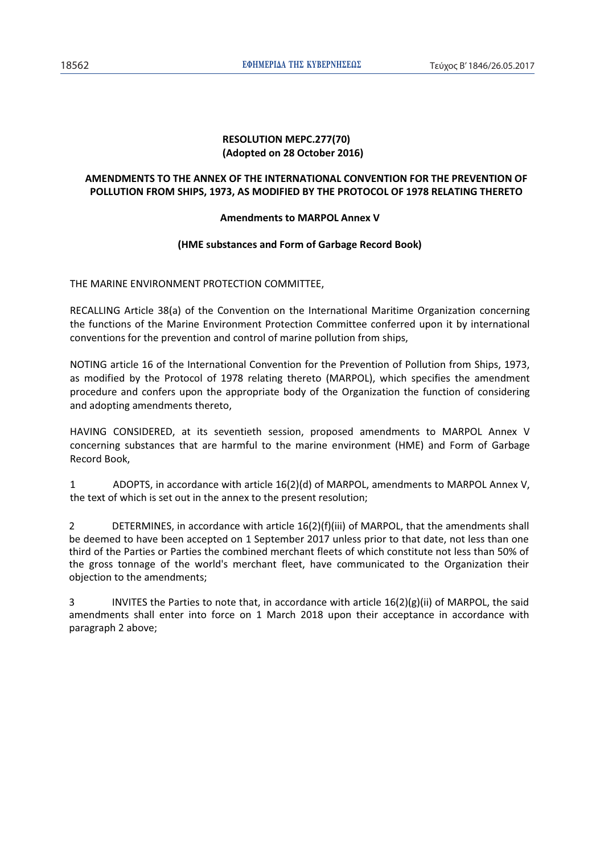# **RESOLUTION MEPC.277(70) (Adopted on 28 October 2016)**

# **AMENDMENTS TO THE ANNEX OF THE INTERNATIONAL CONVENTION FOR THE PREVENTION OF POLLUTION FROM SHIPS, 1973, AS MODIFIED BY THE PROTOCOL OF 1978 RELATING THERETO**

# **Amendments to MARPOL Annex V**

# **(HME substances and Form of Garbage Record Book)**

THE MARINE ENVIRONMENT PROTECTION COMMITTEE,

RECALLING Article 38(a) of the Convention on the International Maritime Organization concerning the functions of the Marine Environment Protection Committee conferred upon it by international conventions for the prevention and control of marine pollution from ships,

NOTING article 16 of the International Convention for the Prevention of Pollution from Ships, 1973, as modified by the Protocol of 1978 relating thereto (MARPOL), which specifies the amendment procedure and confers upon the appropriate body of the Organization the function of considering and adopting amendments thereto,

HAVING CONSIDERED, at its seventieth session, proposed amendments to MARPOL Annex V concerning substances that are harmful to the marine environment (HME) and Form of Garbage Record Book,

1 ADOPTS, in accordance with article 16(2)(d) of MARPOL, amendments to MARPOL Annex V, the text of which is set out in the annex to the present resolution;

2 DETERMINES, in accordance with article 16(2)(f)(iii) of MARPOL, that the amendments shall be deemed to have been accepted on 1 September 2017 unless prior to that date, not less than one third of the Parties or Parties the combined merchant fleets of which constitute not less than 50% of the gross tonnage of the world's merchant fleet, have communicated to the Organization their objection to the amendments;

3 INVITES the Parties to note that, in accordance with article 16(2)(g)(ii) of MARPOL, the said amendments shall enter into force on 1 March 2018 upon their acceptance in accordance with paragraph 2 above;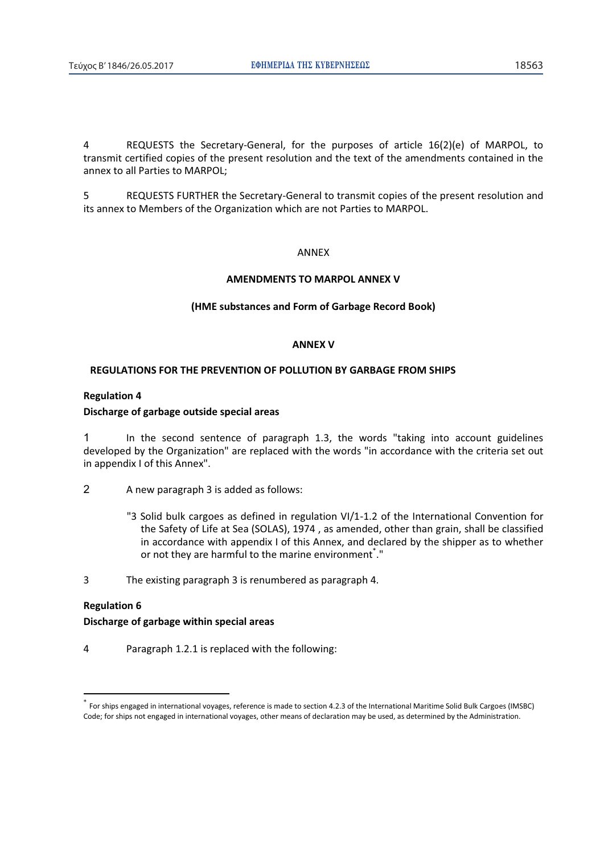4 REQUESTS the Secretary-General, for the purposes of article 16(2)(e) of MARPOL, to transmit certified copies of the present resolution and the text of the amendments contained in the annex to all Parties to MARPOL;

5 REQUESTS FURTHER the Secretary-General to transmit copies of the present resolution and its annex to Members of the Organization which are not Parties to MARPOL.

#### ANNEX

#### **AMENDMENTS TO MARPOL ANNEX V**

#### **(HME substances and Form of Garbage Record Book)**

#### **ANNEX V**

#### **REGULATIONS FOR THE PREVENTION OF POLLUTION BY GARBAGE FROM SHIPS**

# **Regulation 4**

#### **Discharge of garbage outside special areas**

1 In the second sentence of paragraph 1.3, the words "taking into account guidelines developed by the Organization" are replaced with the words "in accordance with the criteria set out in appendix I of this Annex".

- 2 A new paragraph 3 is added as follows:
	- "3 Solid bulk cargoes as defined in regulation VI/1-1.2 of the International Convention for the Safety of Life at Sea (SOLAS), 1974 , as amended, other than grain, shall be classified in accordance with appendix I of this Annex, and declared by the shipper as to whether or not they are harmful to the marine environment<sup>\*</sup>."
- 3 The existing paragraph 3 is renumbered as paragraph 4.

## **Regulation 6**

 $\overline{a}$ 

#### **Discharge of garbage within special areas**

4 Paragraph 1.2.1 is replaced with the following:

<sup>\*</sup> For ships engaged in international voyages, reference is made to section 4.2.3 of the International Maritime Solid Bulk Cargoes (IMSBC) Code; for ships not engaged in international voyages, other means of declaration may be used, as determined by the Administration.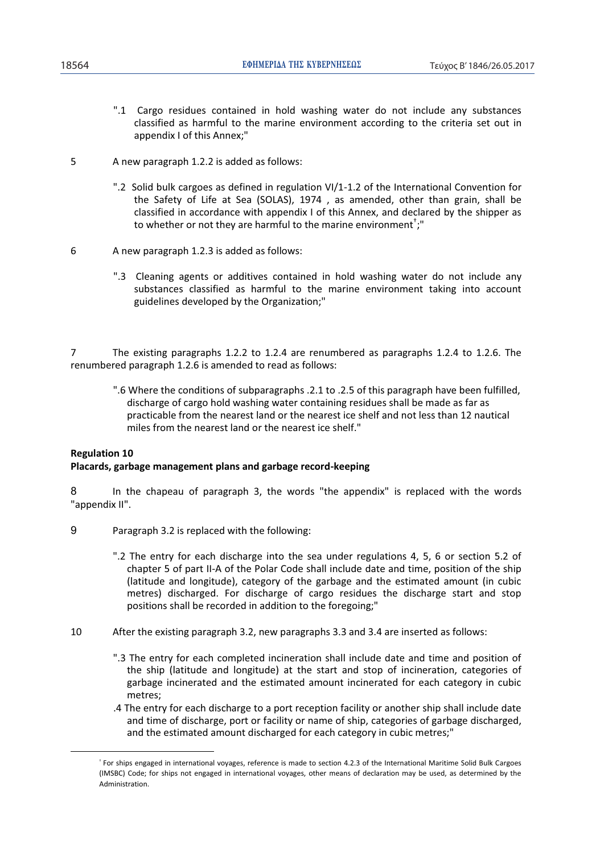- ".1 Cargo residues contained in hold washing water do not include any substances classified as harmful to the marine environment according to the criteria set out in appendix I of this Annex;"
- 5 A new paragraph 1.2.2 is added as follows:
	- ".2 Solid bulk cargoes as defined in regulation VI/1-1.2 of the International Convention for the Safety of Life at Sea (SOLAS), 1974 , as amended, other than grain, shall be classified in accordance with appendix I of this Annex, and declared by the shipper as to whether or not they are harmful to the marine environment $^{\dagger};$ "
- 6 A new paragraph 1.2.3 is added as follows:
	- ".3 Cleaning agents or additives contained in hold washing water do not include any substances classified as harmful to the marine environment taking into account guidelines developed by the Organization;"

7 The existing paragraphs 1.2.2 to 1.2.4 are renumbered as paragraphs 1.2.4 to 1.2.6. The renumbered paragraph 1.2.6 is amended to read as follows:

".6 Where the conditions of subparagraphs .2.1 to .2.5 of this paragraph have been fulfilled, discharge of cargo hold washing water containing residues shall be made as far as practicable from the nearest land or the nearest ice shelf and not less than 12 nautical miles from the nearest land or the nearest ice shelf."

#### **Regulation 10**

 $\overline{a}$ 

#### **Placards, garbage management plans and garbage record-keeping**

8 In the chapeau of paragraph 3, the words "the appendix" is replaced with the words "appendix II".

- 9 Paragraph 3.2 is replaced with the following:
	- ".2 The entry for each discharge into the sea under regulations 4, 5, 6 or section 5.2 of chapter 5 of part II-A of the Polar Code shall include date and time, position of the ship (latitude and longitude), category of the garbage and the estimated amount (in cubic metres) discharged. For discharge of cargo residues the discharge start and stop positions shall be recorded in addition to the foregoing;"
- 10 After the existing paragraph 3.2, new paragraphs 3.3 and 3.4 are inserted as follows:
	- ".3 The entry for each completed incineration shall include date and time and position of the ship (latitude and longitude) at the start and stop of incineration, categories of garbage incinerated and the estimated amount incinerated for each category in cubic metres;
	- .4 The entry for each discharge to a port reception facility or another ship shall include date and time of discharge, port or facility or name of ship, categories of garbage discharged, and the estimated amount discharged for each category in cubic metres;"

<sup>&</sup>lt;sup>\*</sup> For ships engaged in international voyages, reference is made to section 4.2.3 of the International Maritime Solid Bulk Cargoes (IMSBC) Code; for ships not engaged in international voyages, other means of declaration may be used, as determined by the Administration.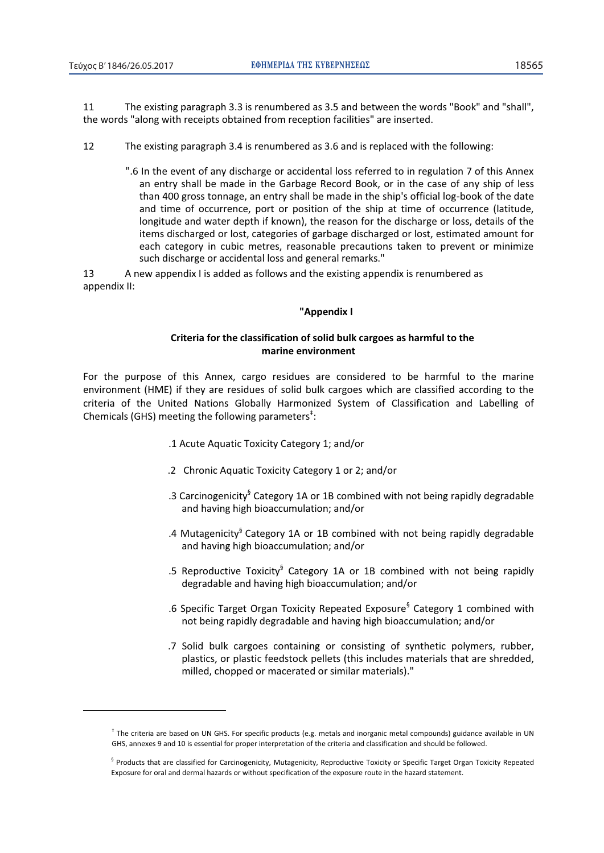$\overline{a}$ 

11 The existing paragraph 3.3 is renumbered as 3.5 and between the words "Book" and "shall", the words "along with receipts obtained from reception facilities" are inserted.

- 12 The existing paragraph 3.4 is renumbered as 3.6 and is replaced with the following:
	- ".6 In the event of any discharge or accidental loss referred to in regulation 7 of this Annex an entry shall be made in the Garbage Record Book, or in the case of any ship of less than 400 gross tonnage, an entry shall be made in the ship's official log-book of the date and time of occurrence, port or position of the ship at time of occurrence (latitude, longitude and water depth if known), the reason for the discharge or loss, details of the items discharged or lost, categories of garbage discharged or lost, estimated amount for each category in cubic metres, reasonable precautions taken to prevent or minimize such discharge or accidental loss and general remarks."

13 A new appendix I is added as follows and the existing appendix is renumbered as appendix II:

#### **"Appendix I**

# **Criteria for the classification of solid bulk cargoes as harmful to the marine environment**

For the purpose of this Annex, cargo residues are considered to be harmful to the marine environment (HME) if they are residues of solid bulk cargoes which are classified according to the criteria of the United Nations Globally Harmonized System of Classification and Labelling of Chemicals (GHS) meeting the following parameters<sup> $\ddagger$ </sup>:

- .1 Acute Aquatic Toxicity Category 1; and/or
- .2 Chronic Aquatic Toxicity Category 1 or 2; and/or
- .3 Carcinogenicity<sup>§</sup> Category 1A or 1B combined with not being rapidly degradable and having high bioaccumulation; and/or
- .4 Mutagenicity<sup>§</sup> Category 1A or 1B combined with not being rapidly degradable and having high bioaccumulation; and/or
- .5 Reproductive Toxicity<sup>§</sup> Category 1A or 1B combined with not being rapidly degradable and having high bioaccumulation; and/or
- .6 Specific Target Organ Toxicity Repeated Exposure<sup>§</sup> Category 1 combined with not being rapidly degradable and having high bioaccumulation; and/or
- .7 Solid bulk cargoes containing or consisting of synthetic polymers, rubber, plastics, or plastic feedstock pellets (this includes materials that are shredded, milled, chopped or macerated or similar materials)."

<sup>&</sup>lt;sup>‡</sup> The criteria are based on UN GHS. For specific products (e.g. metals and inorganic metal compounds) guidance available in UN GHS, annexes 9 and 10 is essential for proper interpretation of the criteria and classification and should be followed.

<sup>&</sup>lt;sup>§</sup> Products that are classified for Carcinogenicity, Mutagenicity, Reproductive Toxicity or Specific Target Organ Toxicity Repeated Exposure for oral and dermal hazards or without specification of the exposure route in the hazard statement.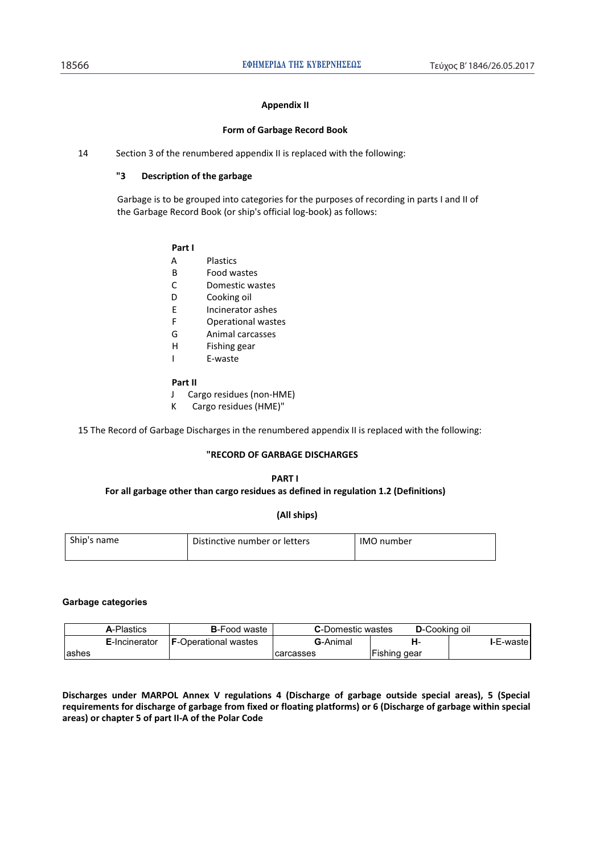#### **Appendix II**

#### **Form of Garbage Record Book**

14 Section 3 of the renumbered appendix II is replaced with the following:

#### **"3 Description of the garbage**

Garbage is to be grouped into categories for the purposes of recording in parts I and II of the Garbage Record Book (or ship's official log-book) as follows:

#### **Part I**

- A Plastics
- B Food wastes
- C Domestic wastes
- D Cooking oil
- E Incinerator ashes
- F Operational wastes
- G Animal carcasses
- H Fishing gear
- I E-waste

#### **Part II**

- J Cargo residues (non-HME)
- K Cargo residues (HME)"

15 The Record of Garbage Discharges in the renumbered appendix II is replaced with the following:

#### **"RECORD OF GARBAGE DISCHARGES**

#### **PART I For all garbage other than cargo residues as defined in regulation 1.2 (Definitions)**

**(All ships)** 

| Ship's name | Distinctive number or letters | <b>IMO</b> number |
|-------------|-------------------------------|-------------------|
|             |                               |                   |

#### **Garbage categories**

|        | <b>A-Plastics</b>     | <b>B</b> -Food waste        | <b>C</b> -Domestic wastes | <b>D</b> -Cooking oil |                   |
|--------|-----------------------|-----------------------------|---------------------------|-----------------------|-------------------|
|        | <b>E</b> -Incinerator | <b>F-Operational wastes</b> | <b>G</b> -Animal          | н.                    | <b>I-E-wastel</b> |
| lashes |                       |                             | 'carcasses                | Fishing gear          |                   |

**Discharges under MARPOL Annex V regulations 4 (Discharge of garbage outside special areas), 5 (Special requirements for discharge of garbage from fixed or floating platforms) or 6 (Discharge of garbage within special areas) or chapter 5 of part II-A of the Polar Code**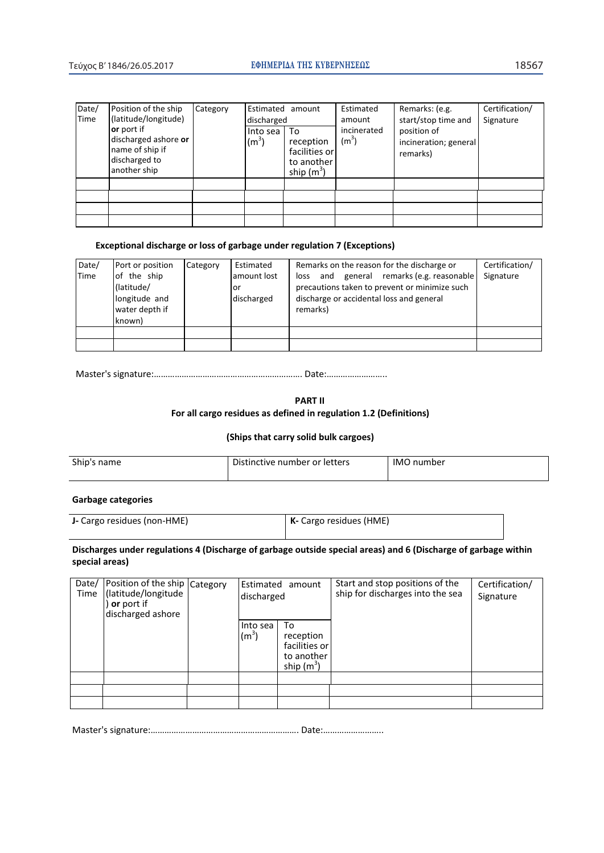| Date/<br>Time | Position of the ship<br>(latitude/longitude)                                                  | Category | Estimated<br>discharged | amount                                                         | Estimated<br>amount    | Remarks: (e.g.<br>start/stop time and            | Certification/<br>Signature |
|---------------|-----------------------------------------------------------------------------------------------|----------|-------------------------|----------------------------------------------------------------|------------------------|--------------------------------------------------|-----------------------------|
|               | <b>or</b> port if<br>discharged ashore or<br>name of ship if<br>discharged to<br>another ship |          | Into sea<br>$(m^3)$     | To<br>reception<br>facilities or<br>to another<br>ship $(m^3)$ | incinerated<br>$(m^3)$ | position of<br>incineration; general<br>remarks) |                             |
|               |                                                                                               |          |                         |                                                                |                        |                                                  |                             |
|               |                                                                                               |          |                         |                                                                |                        |                                                  |                             |
|               |                                                                                               |          |                         |                                                                |                        |                                                  |                             |
|               |                                                                                               |          |                         |                                                                |                        |                                                  |                             |

### **Exceptional discharge or loss of garbage under regulation 7 (Exceptions)**

| Date/<br>Time | Port or position<br>of the ship<br>(latitude/<br>longitude and<br>water depth if<br>known) | Category | Estimated<br>lamount lost<br>or<br>discharged | Remarks on the reason for the discharge or<br>and general remarks (e.g. reasonable<br>loss<br>precautions taken to prevent or minimize such<br>discharge or accidental loss and general<br>remarks) | Certification/<br>Signature |
|---------------|--------------------------------------------------------------------------------------------|----------|-----------------------------------------------|-----------------------------------------------------------------------------------------------------------------------------------------------------------------------------------------------------|-----------------------------|
|               |                                                                                            |          |                                               |                                                                                                                                                                                                     |                             |
|               |                                                                                            |          |                                               |                                                                                                                                                                                                     |                             |

DĂƐƚĞƌΖƐƐŝŐŶĂƚƵƌĞ͙͙͙͙͙͙͙͙͙͙͙͙͙͙͙͙͙͙͙͙͙͗͘ĂƚĞ͙͙͙͙͙͙͙͙͗͘͘

**PART II** 

# **For all cargo residues as defined in regulation 1.2 (Definitions)**

#### **(Ships that carry solid bulk cargoes)**

| Ship's name | Distinctive number or letters | IMO number |
|-------------|-------------------------------|------------|
|             |                               |            |

# **Garbage categories**

| J- Cargo residues (non-HME) | $\mathsf{K}\mathsf{F}$ Cargo residues (HME) |
|-----------------------------|---------------------------------------------|
|                             |                                             |

# **Discharges under regulations 4 (Discharge of garbage outside special areas) and 6 (Discharge of garbage within special areas)**

| Date/<br>Time | Position of the ship Category<br>(latitude/longitude<br><b>or</b> port if<br>discharged ashore | discharged                    | Estimated amount                                               | Start and stop positions of the<br>ship for discharges into the sea | Certification/<br>Signature |
|---------------|------------------------------------------------------------------------------------------------|-------------------------------|----------------------------------------------------------------|---------------------------------------------------------------------|-----------------------------|
|               |                                                                                                | Into sea<br>(m <sup>3</sup> ) | To<br>reception<br>facilities or<br>to another<br>ship $(m^3)$ |                                                                     |                             |
|               |                                                                                                |                               |                                                                |                                                                     |                             |
|               |                                                                                                |                               |                                                                |                                                                     |                             |
|               |                                                                                                |                               |                                                                |                                                                     |                             |

Master's ƐŝŐŶĂƚƵƌĞ͙͙͙͙͙͙͙͙͙͙͙͙͙͙͙͙͙͙͙͙͙͗͘ĂƚĞ͙͙͙͙͙͙͙͙͗͘͘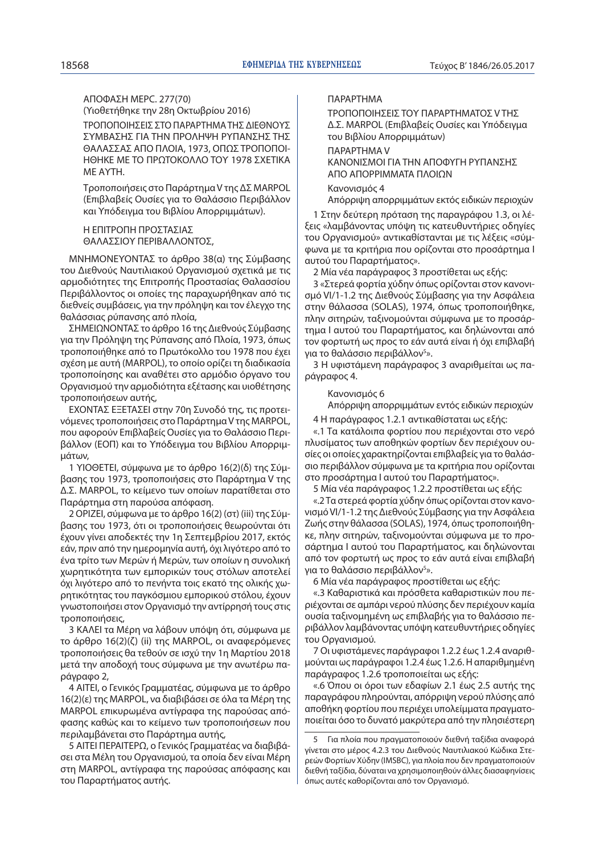ΑΠΟΦΑΣΗ MEPC. 277(70)

(Υιοθετήθηκε την 28η Οκτωβρίου 2016) ΤΡΟΠΟΠΟΙΗΣΕΙΣ ΣΤΟ ΠΑΡΑΡΤΗΜΑ ΤΗΣ ΔΙΕΘΝΟΥΣ ΣΥΜΒΑΣΗΣ ΓΙΑ ΤΗΝ ΠΡΟΛΗΨΗ ΡΥΠΑΝΣΗΣ ΤΗΣ ΘΑΛΑΣΣΑΣ ΑΠΟ ΠΛΟΙΑ, 1973, ΟΠΩΣ ΤΡΟΠΟΠΟΙ-ΗΘΗΚΕ ΜΕ ΤΟ ΠΡΩΤΟΚΟΛΛΟ ΤΟΥ 1978 ΣΧΕΤΙΚΑ ΜΕ ΑΥΤΗ.

Τροποποιήσεις στο Παράρτημα V της ΔΣ MARPOL (Επιβλαβείς Ουσίες για το Θαλάσσιο Περιβάλλον και Υπόδειγμα του Βιβλίου Απορριμμάτων).

Η ΕΠΙΤΡΟΠΗ ΠΡΟΣΤΑΣΙΑΣ ΘΑΛΑΣΣΙΟΥ ΠΕΡΙΒΑΛΛΟΝΤΟΣ,

ΜΝΗΜΟΝΕΥΟΝΤΑΣ το άρθρο 38(α) της Σύμβασης του Διεθνούς Ναυτιλιακού Οργανισμού σχετικά με τις αρμοδιότητες της Επιτροπής Προστασίας Θαλασσίου Περιβάλλοντος οι οποίες της παραχωρήθηκαν από τις διεθνείς συμβάσεις, για την πρόληψη και τον έλεγχο της θαλάσσιας ρύπανσης από πλοία,

ΣΗΜΕΙΩΝΟΝΤΑΣ το άρθρο 16 της Διεθνούς Σύμβασης για την Πρόληψη της Ρύπανσης από Πλοία, 1973, όπως τροποποιήθηκε από το Πρωτόκολλο του 1978 που έχει σχέση με αυτή (MARPOL), το οποίο ορίζει τη διαδικασία τροποποίησης και αναθέτει στο αρμόδιο όργανο του Οργανισμού την αρμοδιότητα εξέτασης και υιοθέτησης τροποποιήσεων αυτής,

ΕΧΟΝΤΑΣ ΕΞΕΤΑΣΕΙ στην 70η Συνοδό της, τις προτεινόμενες τροποποιήσεις στο Παράρτημα V της MARPOL, που αφορούν Επιβλαβείς Ουσίες για το Θαλάσσιο Περιβάλλον (ΕΟΠ) και το Υπόδειγμα του Βιβλίου Απορριμμάτων,

1 ΥΙΟΘΕΤΕΙ, σύμφωνα με το άρθρο 16(2)(δ) της Σύμβασης του 1973, τροποποιήσεις στο Παράρτημα V της Δ.Σ. MARPOL, το κείμενο των οποίων παρατίθεται στο Παράρτημα στη παρούσα απόφαση.

2 ΟΡΙΖΕΙ, σύμφωνα με το άρθρο 16(2) (στ) (iii) της Σύμβασης του 1973, ότι οι τροποποιήσεις θεωρούνται ότι έχουν γίνει αποδεκτές την 1η Σεπτεμβρίου 2017, εκτός εάν, πριν από την ημερομηνία αυτή, όχι λιγότερο από το ένα τρίτο των Μερών ή Μερών, των οποίων η συνολική χωρητικότητα των εμπορικών τους στόλων αποτελεί όχι λιγότερο από το πενήντα τοις εκατό της ολικής χωρητικότητας του παγκόσμιου εμπορικού στόλου, έχουν γνωστοποιήσει στον Οργανισμό την αντίρρησή τους στις τροποποιήσεις,

3 ΚΑΛΕΙ τα Μέρη να λάβουν υπόψη ότι, σύμφωνα με το άρθρο 16(2)(ζ) (ii) της MARPOL, οι αναφερόμενες τροποποιήσεις θα τεθούν σε ισχύ την 1η Μαρτίου 2018 μετά την αποδοχή τους σύμφωνα με την ανωτέρω παράγραφο 2,

4 ΑΙΤΕΙ, ο Γενικός Γραμματέας, σύμφωνα με το άρθρο 16(2)(ε) της MARPOL, να διαβιβάσει σε όλα τα Μέρη της MARPOL επικυρωμένα αντίγραφα της παρούσας απόφασης καθώς και το κείμενο των τροποποιήσεων που περιλαμβάνεται στο Παράρτημα αυτής,

5 ΑΙΤΕΙ ΠΕΡΑΙΤΕΡΩ, ο Γενικός Γραμματέας να διαβιβάσει στα Μέλη του Οργανισμού, τα οποία δεν είναι Μέρη στη MARPOL, αντίγραφα της παρούσας απόφασης και του Παραρτήματος αυτής.

#### ΠΑΡΑΡΤΗΜΑ

ΤΡΟΠΟΠΟΙΗΣΕΙΣ ΤΟΥ ΠΑΡΑΡΤΗΜΑΤΟΣ V ΤΗΣ Δ.Σ. MARPOL (Επιβλαβείς Ουσίες και Υπόδειγμα του Βιβλίου Απορριμμάτων)

ΠΑΡΑΡΤΗΜΑ V

ΚΑΝΟΝΙΣΜΟΙ ΓΙΑ ΤΗΝ ΑΠΟΦΥΓΗ ΡΥΠΑΝΣΗΣ ΑΠΟ ΑΠΟΡΡΙΜΜΑΤΑ ΠΛΟΙΩΝ

Κανονισμός 4

Απόρριψη απορριμμάτων εκτός ειδικών περιοχών

1 Στην δεύτερη πρόταση της παραγράφου 1.3, οι λέξεις «λαμβάνοντας υπόψη τις κατευθυντήριες οδηγίες του Οργανισμού» αντικαθίστανται με τις λέξεις «σύμφωνα με τα κριτήρια που ορίζονται στο προσάρτημα Ι αυτού του Παραρτήματος».

2 Μία νέα παράγραφος 3 προστίθεται ως εξής:

3 «Στερεά φορτία χύδην όπως ορίζονται στον κανονισμό VI/1-1.2 της Διεθνούς Σύμβασης για την Ασφάλεια στην θάλασσα (SOLAS), 1974, όπως τροποποιήθηκε, πλην σιτηρών, ταξινομούνται σύμφωνα με το προσάρτημα Ι αυτού του Παραρτήματος, και δηλώνονται από τον φορτωτή ως προς το εάν αυτά είναι ή όχι επιβλαβή για το θαλάσσιο περιβάλλον<sup>5</sup>».

3 Η υφιστάμενη παράγραφος 3 αναριθμείται ως παράγραφος 4.

#### Κανονισμός 6

Απόρριψη απορριμμάτων εντός ειδικών περιοχών

4 Η παράγραφος 1.2.1 αντικαθίσταται ως εξής:

«.1 Τα κατάλοιπα φορτίου που περιέχονται στο νερό πλυσίματος των αποθηκών φορτίων δεν περιέχουν ουσίες οι οποίες χαρακτηρίζονται επιβλαβείς για το θαλάσσιο περιβάλλον σύμφωνα με τα κριτήρια που ορίζονται στο προσάρτημα Ι αυτού του Παραρτήματος».

5 Μία νέα παράγραφος 1.2.2 προστίθεται ως εξής:

«.2 Τα στερεά φορτία χύδην όπως ορίζονται στον κανονισμό VI/1-1.2 της Διεθνούς Σύμβασης για την Ασφάλεια Ζωής στην θάλασσα (SOLAS), 1974, όπως τροποποιήθηκε, πλην σιτηρών, ταξινομούνται σύμφωνα με το προσάρτημα Ι αυτού του Παραρτήματος, και δηλώνονται από τον φορτωτή ως προς το εάν αυτά είναι επιβλαβή για το θαλάσσιο περιβάλλον<sup>5</sup>».

6 Μία νέα παράγραφος προστίθεται ως εξής:

«.3 Καθαριστικά και πρόσθετα καθαριστικών που περιέχονται σε αμπάρι νερού πλύσης δεν περιέχουν καμία ουσία ταξινομημένη ως επιβλαβής για το θαλάσσιο περιβάλλον λαμβάνοντας υπόψη κατευθυντήριες οδηγίες του Οργανισμού.

7 Οι υφιστάμενες παράγραφοι 1.2.2 έως 1.2.4 αναριθμούνται ως παράγραφοι 1.2.4 έως 1.2.6. Η απαριθμημένη παράγραφος 1.2.6 τροποποιείται ως εξής:

«.6 Όπου οι όροι των εδαφίων 2.1 έως 2.5 αυτής της παραγράφου πληρούνται, απόρριψη νερού πλύσης από αποθήκη φορτίου που περιέχει υπολείμματα πραγματοποιείται όσο το δυνατό μακρύτερα από την πλησιέστερη

<sup>5</sup> Για πλοία που πραγματοποιούν διεθνή ταξίδια αναφορά γίνεται στο μέρος 4.2.3 του Διεθνούς Ναυτιλιακού Κώδικα Στερεών Φορτίων Χύδην (IMSBC), για πλοία που δεν πραγματοποιούν διεθνή ταξίδια, δύναται να χρησιμοποιηθούν άλλες διασαφηνίσεις όπως αυτές καθορίζονται από τον Οργανισμό.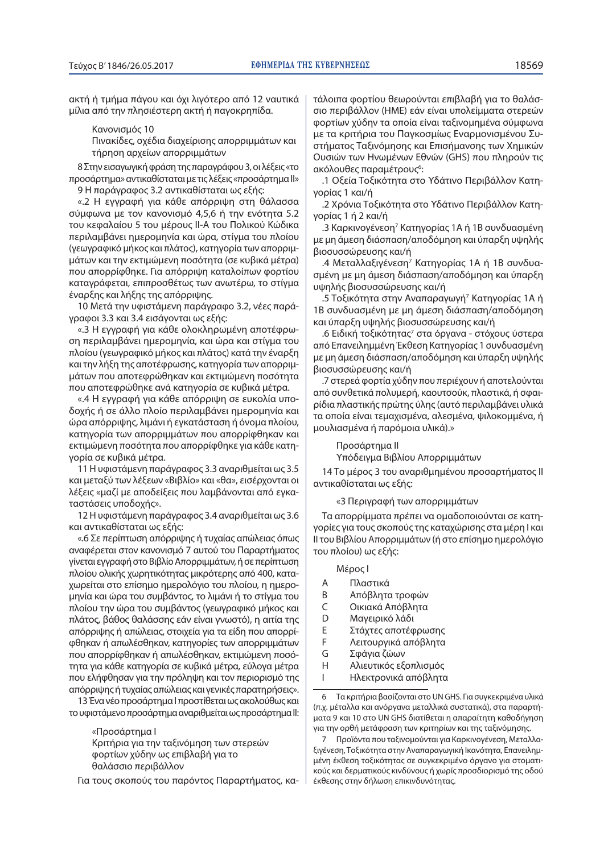ακτή ή τμήμα πάγου και όχι λιγότερο από 12 ναυτικά μίλια από την πλησιέστερη ακτή ή παγοκρηπίδα.

Κανονισμός 10

Πινακίδες, σχέδια διαχείρισης απορριμμάτων και τήρηση αρχείων απορριμμάτων

8 Στην εισαγωγική φράση της παραγράφου 3, οι λέξεις «το προσάρτημα» αντικαθίσταται με τις λέξεις «προσάρτημα II» 9 Η παράγραφος 3.2 αντικαθίσταται ως εξής:

«.2 Η εγγραφή για κάθε απόρριψη στη θάλασσα σύμφωνα με τον κανονισμό 4,5,6 ή την ενότητα 5.2 του κεφαλαίου 5 του μέρους ΙΙ-Α του Πολικού Κώδικα περιλαμβάνει ημερομηνία και ώρα, στίγμα του πλοίου (γεωγραφικό μήκος και πλάτος), κατηγορία των απορριμμάτων και την εκτιμώμενη ποσότητα (σε κυβικά μέτρα) που απορρίφθηκε. Για απόρριψη καταλοίπων φορτίου καταγράφεται, επιπροσθέτως των ανωτέρω, το στίγμα έναρξης και λήξης της απόρριψης.

10 Μετά την υφιστάμενη παράγραφο 3.2, νέες παράγραφοι 3.3 και 3.4 εισάγονται ως εξής:

«.3 Η εγγραφή για κάθε ολοκληρωμένη αποτέφρωση περιλαμβάνει ημερομηνία, και ώρα και στίγμα του πλοίου (γεωγραφικό μήκος και πλάτος) κατά την έναρξη και την λήξη της αποτέφρωσης, κατηγορία των απορριμμάτων που αποτεφρώθηκαν και εκτιμώμενη ποσότητα που αποτεφρώθηκε ανά κατηγορία σε κυβικά μέτρα.

«.4 Η εγγραφή για κάθε απόρριψη σε ευκολία υποδοχής ή σε άλλο πλοίο περιλαμβάνει ημερομηνία και ώρα απόρριψης, λιμάνι ή εγκατάσταση ή όνομα πλοίου, κατηγορία των απορριμμάτων που απορρίφθηκαν και εκτιμώμενη ποσότητα που απορρίφθηκε για κάθε κατηγορία σε κυβικά μέτρα.

11 Η υφιστάμενη παράγραφος 3.3 αναριθμείται ως 3.5 και μεταξύ των λέξεων «Βιβλίο» και «θα», εισέρχονται οι λέξεις «μαζί με αποδείξεις που λαμβάνονται από εγκαταστάσεις υποδοχής».

12 Η υφιστάμενη παράγραφος 3.4 αναριθμείται ως 3.6 και αντικαθίσταται ως εξής:

«.6 Σε περίπτωση απόρριψης ή τυχαίας απώλειας όπως αναφέρεται στον κανονισμό 7 αυτού του Παραρτήματος γίνεται εγγραφή στο Βιβλίο Απορριμμάτων, ή σε περίπτωση πλοίου ολικής χωρητικότητας μικρότερης από 400, καταχωρείται στο επίσημο ημερολόγιο του πλοίου, η ημερομηνία και ώρα του συμβάντος, το λιμάνι ή το στίγμα του πλοίου την ώρα του συμβάντος (γεωγραφικό μήκος και πλάτος, βάθος θαλάσσης εάν είναι γνωστό), η αιτία της απόρριψης ή απώλειας, στοιχεία για τα είδη που απορρίφθηκαν ή απωλέσθηκαν, κατηγορίες των απορριμμάτων που απορρίφθηκαν ή απωλέσθηκαν, εκτιμώμενη ποσότητα για κάθε κατηγορία σε κυβικά μέτρα, εύλογα μέτρα που ελήφθησαν για την πρόληψη και τον περιορισμό της απόρριψης ή τυχαίας απώλειας και γενικές παρατηρήσεις».

13 Ένα νέο προσάρτημα Ι προστίθεται ως ακολούθως και το υφιστάμενο προσάρτημα αναριθμείται ως προσάρτημα II:

> «Προσάρτημα Ι Κριτήρια για την ταξινόμηση των στερεών φορτίων χύδην ως επιβλαβή για το θαλάσσιο περιβάλλον

Για τους σκοπούς του παρόντος Παραρτήματος, κα-

τάλοιπα φορτίου θεωρούνται επιβλαβή για το θαλάσσιο περιβάλλον (ΗΜΕ) εάν είναι υπολείμματα στερεών φορτίων χύδην τα οποία είναι ταξινομημένα σύμφωνα με τα κριτήρια του Παγκοσμίως Εναρμονισμένου Συστήματος Ταξινόμησης και Επισήμανσης των Χημικών Ουσιών των Ηνωμένων Εθνών (GHS) που πληρούν τις ακόλουθες παραμέτρους<sup>6</sup>

.1 Οξεία Τοξικότητα στο Υδάτινο Περιβάλλον Κατηγορίας 1 και/ή

.2 Χρόνια Τοξικότητα στο Υδάτινο Περιβάλλον Κατηγορίας 1 ή 2 και/ή

.3 Καρκινογένεση<sup>7</sup> Κατηγορίας 1Α ή 1Β συνδυασμένη με μη άμεση διάσπαση/αποδόμηση και ύπαρξη υψηλής βιοσυσσώρευσης και/ή

.4 Μεταλλαξιγένεση<sup>7</sup> Κατηγορίας 1Α ή 1Β συνδυασμένη με μη άμεση διάσπαση/αποδόμηση και ύπαρξη υψηλής βιοσυσσώρευσης και/ή

.5 Τοξικότητα στην Αναπαραγωγή<sup>7</sup> Κατηγορίας 1Α ή 1B συνδυασμένη με μη άμεση διάσπαση/αποδόμηση και ύπαρξη υψηλής βιοσυσσώρευσης και/ή

.6 Ειδική τοξικότητας<sup>7</sup> στα όργανα - στόχους ύστερα από Επανειλημμένη Έκθεση Κατηγορίας 1 συνδυασμένη με μη άμεση διάσπαση/αποδόμηση και ύπαρξη υψηλής βιοσυσσώρευσης και/ή

.7 στερεά φορτία χύδην που περιέχουν ή αποτελούνται από συνθετικά πολυμερή, καουτσούκ, πλαστικά, ή σφαιρίδια πλαστικής πρώτης ύλης (αυτό περιλαμβάνει υλικά τα οποία είναι τεμαχισμένα, αλεσμένα, ψιλοκομμένα, ή μουλιασμένα ή παρόμοια υλικά).»

#### Προσάρτημα II

Υπόδειγμα Βιβλίου Απορριμμάτων

14 Το μέρος 3 του αναριθμημένου προσαρτήματος II αντικαθίσταται ως εξής:

«3 Περιγραφή των απορριμμάτων

Τα απορρίμματα πρέπει να ομαδοποιούνται σε κατηγορίες για τους σκοπούς της καταχώρισης στα μέρη Ι και II του Βιβλίου Απορριμμάτων (ή στο επίσημο ημερολόγιο του πλοίου) ως εξής:

- Μέρος Ι
- Α Πλαστικά
- Β Απόβλητα τροφών
- C Οικιακά Απόβλητα
- D Μαγειρικό λάδι
- Ε Στάχτες αποτέφρωσης
- F Λειτουργικά απόβλητα
- G Σφάγια ζώων
- Η Αλιευτικός εξοπλισμός
- Ι Ηλεκτρονικά απόβλητα

6 Τα κριτήρια βασίζονται στο UN GHS. Για συγκεκριμένα υλικά (π.χ. μέταλλα και ανόργανα μεταλλικά συστατικά), στα παραρτήματα 9 και 10 στο UN GHS διατίθεται η απαραίτητη καθοδήγηση για την ορθή μετάφραση των κριτηρίων και της ταξινόμησης.

7 Προϊόντα που ταξινομούνται για Καρκινογένεση, Μεταλλαξιγένεση, Τοξικότητα στην Αναπαραγωγική Ικανότητα, Επανειλημμένη έκθεση τοξικότητας σε συγκεκριμένο όργανο για στοματικούς και δερματικούς κινδύνους ή χωρίς προσδιορισμό της οδού έκθεσης στην δήλωση επικινδυνότητας.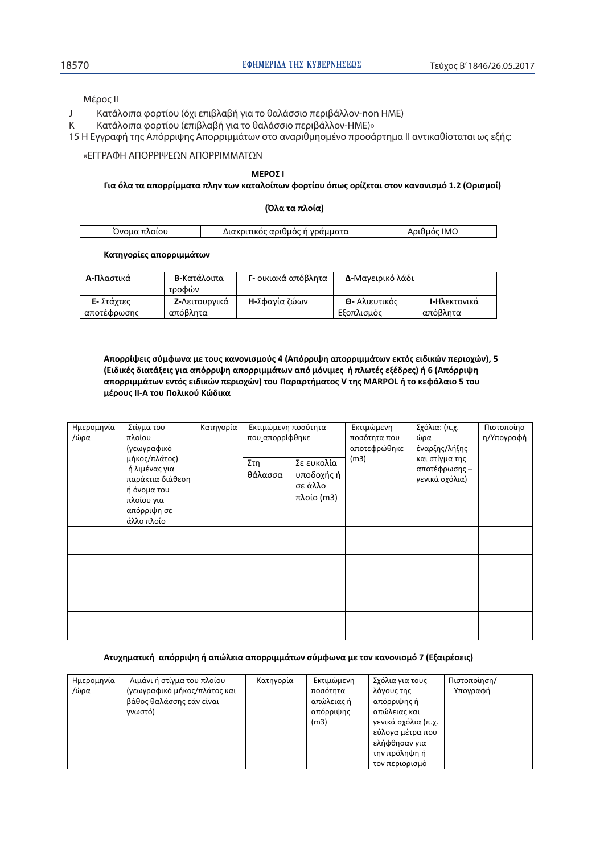Μέρος II

J Κατάλοιπα φορτίου (όχι επιβλαβή για το θαλάσσιο περιβάλλον-non ΗΜΕ)

Κ Κατάλοιπα φορτίου (επιβλαβή για το θαλάσσιο περιβάλλον-ΗΜΕ)»

15 Η Εγγραφή της Απόρριψης Απορριμμάτων στο αναριθμησμένο προσάρτημα II αντικαθίσταται ως εξής:

«ΕΓΓΡΑΦΗ ΑΠΟΡΡΙΨΕΩΝ ΑΠΟΡΡΙΜΜΑΤΩΝ

#### **ɀȵɆɃɇȻ**

#### Για όλα τα απορρίμματα πλην των καταλοίπων φορτίου όπως ορίζεται στον κανονισμό 1.2 (Ορισμοί)

| (Όλα τα πλοία) |  |  |  |
|----------------|--|--|--|
|----------------|--|--|--|

|  | $\overline{M}$ | ینم مید خود داشت<br>οάμματα<br>- 00110100<br>זואו | IMC |
|--|----------------|---------------------------------------------------|-----|
|--|----------------|---------------------------------------------------|-----|

#### Κατηγορίες απορριμμάτων

| Α-Πλαστικά  | Β-Κατάλοιπα<br>τροφών | Γ- οικιακά απόβλητα   | Δ-Μαγειρικό λάδι     |                      |
|-------------|-----------------------|-----------------------|----------------------|----------------------|
| Ε- Στάχτες  | <b>Ζ-</b> Λειτουργικά | <b>Η-</b> Σφανία ζώων | <b>Θ-</b> Αλιευτικός | <b>Ι-</b> Ηλεκτονικά |
| αποτέφρωσης | απόβλητα              |                       | Εξοπλισμός           | απόβλητα             |

Aπορρίψεις σύμφωνα με τους κανονισμούς 4 (Απόρριψη απορριμμάτων εκτός ειδικών περιοχών), 5 (Ειδικές διατάξεις για απόρριψη απορριμμάτων από μόνιμες ή πλωτές εξέδρες) ή 6 (Απόρριψη **ɲʋʉʌʌɿʅʅɳʏʘʆɸʆʏʊʎɸɿɷɿʃʙʆʋɸʌɿʉʖʙʆͿʏʉʐɅɲʌɲʌʏɼʅɲʏʉʎV ʏɻʎMARPOL ɼʏʉʃɸʔɳʄɲɿʉϱʏʉʐ**  $\mu$ έρους ΙΙ-Α του Πολικού Κώδικα

| Ημερομηνία<br>/ώρα | Στίγμα του<br>πλοίου<br>(γεωγραφικό                                                                          | Κατηγορία | Εκτιμώμενη ποσότητα<br>που απορρίφθηκε |                                                   | Εκτιμώμενη<br>ποσότητα που<br>αποτεφρώθηκε | Σχόλια: (π.χ.<br>ώρα<br>έναρξης/λήξης             | Πιστοποίησ<br>η/Υπογραφή |
|--------------------|--------------------------------------------------------------------------------------------------------------|-----------|----------------------------------------|---------------------------------------------------|--------------------------------------------|---------------------------------------------------|--------------------------|
|                    | μήκος/πλάτος)<br>ή λιμένας για<br>παράκτια διάθεση<br>ή όνομα του<br>πλοίου για<br>απόρριψη σε<br>άλλο πλοίο |           | Στη<br>θάλασσα                         | Σε ευκολία<br>υποδοχής ή<br>σε άλλο<br>πλοίο (m3) | (m3)                                       | και στίγμα της<br>αποτέφρωσης –<br>γενικά σχόλια) |                          |
|                    |                                                                                                              |           |                                        |                                                   |                                            |                                                   |                          |
|                    |                                                                                                              |           |                                        |                                                   |                                            |                                                   |                          |
|                    |                                                                                                              |           |                                        |                                                   |                                            |                                                   |                          |
|                    |                                                                                                              |           |                                        |                                                   |                                            |                                                   |                          |

#### Aτυχηματική απόρριψη ή απώλεια απορριμμάτων σύμφωνα με τον κανονισμό 7 (Εξαιρέσεις)

| Ημερομηνία | Λιμάνι ή στίγμα του πλοίου   | Κατηγορία | Εκτιμώμενη | Σχόλια για τους     | Πιστοποίηση/ |
|------------|------------------------------|-----------|------------|---------------------|--------------|
| /ώρα       | (γεωγραφικό μήκος/πλάτος και |           | ποσότητα   | λόγους της          | Υπογραφή     |
|            | βάθος θαλάσσης εάν είναι     |           | απώλειας ή | απόρριψης ή         |              |
|            | γνωστό)                      |           | απόρριψης  | απώλειας και        |              |
|            |                              |           | (m3)       | γενικά σχόλια (π.χ. |              |
|            |                              |           |            | εύλογα μέτρα που    |              |
|            |                              |           |            | ελήφθησαν για       |              |
|            |                              |           |            | την πρόληψη ή       |              |
|            |                              |           |            | τον περιορισμό      |              |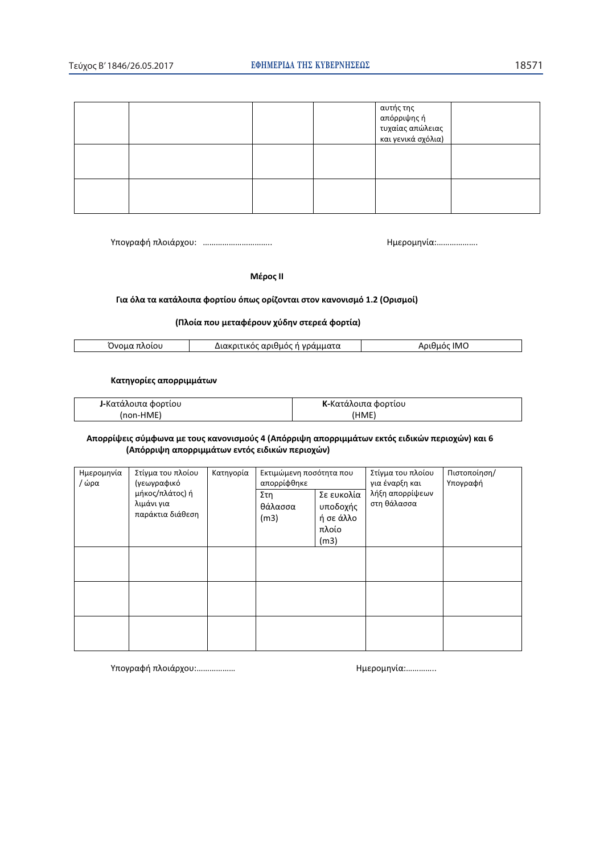|  |  | αυτής της<br>απόρριψης ή<br>  τυχαίας απώλειας<br>  και γενικά σχόλια) |  |
|--|--|------------------------------------------------------------------------|--|
|  |  |                                                                        |  |
|  |  |                                                                        |  |

ɉʋʉɶʌɲʔɼʋʄʉɿɳʌʖʉʐ͗ ͙͙͙͙͙͙͙͙͙͙͘͘ ȸʅɸʌʉʅɻʆʀɲ͙͙͙͙͙͙͗͘

 $M$ έρος ΙΙ

#### Για όλα τα κατάλοιπα φορτίου όπως ορίζονται στον κανονισμό 1.2 (Ορισμοί)

#### **;ɅʄʉʀɲʋʉʐʅɸʏɲʔɹʌʉʐʆʖʑɷɻʆʍʏɸʌɸɳʔʉʌʏʀɲͿ**

| w<br>ונזונו<br>$\mathbf{r}$ | $\overline{\phantom{a}}$<br>ликог<br>.<br>uu.<br>$\mathbf{v}$<br>. | IM( |
|-----------------------------|--------------------------------------------------------------------|-----|
|                             |                                                                    |     |

#### Κατηγορίες απορριμμάτων

| <b>J-</b> Κατάλοιπα φορτίου | <b>Κ</b> -Κατάλοιπα φορτίου |
|-----------------------------|-----------------------------|
| (non-HME)                   | (HME)                       |

#### Aπορρίψεις σύμφωνα με τους κανονισμούς 4 (Απόρριψη απορριμμάτων εκτός ειδικών περιοχών) και 6 **(Απόρριψη απορριμμάτων εντός ειδικών περιοχών)**

| Ημερομηνία<br>/ ώρα | Στίγμα του πλοίου<br>(γεωγραφικό<br>μήκος/πλάτος) ή<br>λιμάνι για<br>παράκτια διάθεση | Κατηγορία | Εκτιμώμενη ποσότητα που<br>απορρίφθηκε |                                                      | Στίγμα του πλοίου<br>για έναρξη και | Πιστοποίηση/<br>Υπογραφή |
|---------------------|---------------------------------------------------------------------------------------|-----------|----------------------------------------|------------------------------------------------------|-------------------------------------|--------------------------|
|                     |                                                                                       |           | Στη<br>θάλασσα<br>(m3)                 | Σε ευκολία<br>υποδοχής<br>ή σε άλλο<br>πλοίο<br>(m3) | λήξη απορρίψεων<br>στη θάλασσα      |                          |
|                     |                                                                                       |           |                                        |                                                      |                                     |                          |
|                     |                                                                                       |           |                                        |                                                      |                                     |                          |
|                     |                                                                                       |           |                                        |                                                      |                                     |                          |

ɉʋʉɶʌɲʔɼʋʄʉɿɳʌʖʉʐ͙͙͙͙͙͙͗ ȸʅɸʌʉʅɻʆʀɲ͙͙͙͙͗͘͘